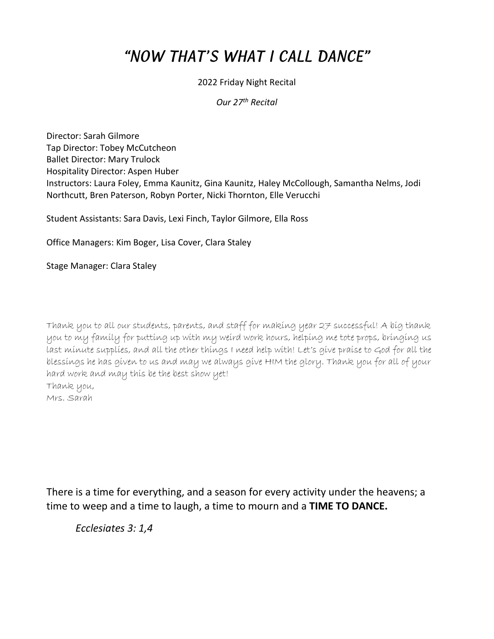## "NOW THAT'S WHAT I CALL DANCE"

## 2022 Friday Night Recital

## *Our 27th Recital*

Director: Sarah Gilmore Tap Director: Tobey McCutcheon Ballet Director: Mary Trulock Hospitality Director: Aspen Huber Instructors: Laura Foley, Emma Kaunitz, Gina Kaunitz, Haley McCollough, Samantha Nelms, Jodi Northcutt, Bren Paterson, Robyn Porter, Nicki Thornton, Elle Verucchi

Student Assistants: Sara Davis, Lexi Finch, Taylor Gilmore, Ella Ross

Office Managers: Kim Boger, Lisa Cover, Clara Staley

Stage Manager: Clara Staley

Thank you to all our students, parents, and staff for making year 27 successful! A big thank you to my family for putting up with my weird work hours, helping me tote props, bringing us last minute supplies, and all the other things I need help with! Let's give praise to God for all the blessings he has given to us and may we always give HIM the glory. Thank you for all of your hard work and may this be the best show yet! Thank you,

Mrs. Sarah

There is a time for everything, and a season for every activity under the heavens; a time to weep and a time to laugh, a time to mourn and a **TIME TO DANCE.** 

*Ecclesiates 3: 1,4*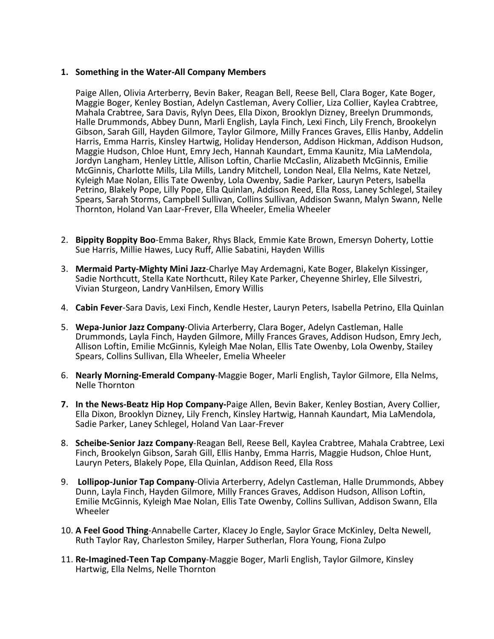#### **1. Something in the Water-All Company Members**

Paige Allen, Olivia Arterberry, Bevin Baker, Reagan Bell, Reese Bell, Clara Boger, Kate Boger, Maggie Boger, Kenley Bostian, Adelyn Castleman, Avery Collier, Liza Collier, Kaylea Crabtree, Mahala Crabtree, Sara Davis, Rylyn Dees, Ella Dixon, Brooklyn Dizney, Breelyn Drummonds, Halle Drummonds, Abbey Dunn, Marli English, Layla Finch, Lexi Finch, Lily French, Brookelyn Gibson, Sarah Gill, Hayden Gilmore, Taylor Gilmore, Milly Frances Graves, Ellis Hanby, Addelin Harris, Emma Harris, Kinsley Hartwig, Holiday Henderson, Addison Hickman, Addison Hudson, Maggie Hudson, Chloe Hunt, Emry Jech, Hannah Kaundart, Emma Kaunitz, Mia LaMendola, Jordyn Langham, Henley Little, Allison Loftin, Charlie McCaslin, Alizabeth McGinnis, Emilie McGinnis, Charlotte Mills, Lila Mills, Landry Mitchell, London Neal, Ella Nelms, Kate Netzel, Kyleigh Mae Nolan, Ellis Tate Owenby, Lola Owenby, Sadie Parker, Lauryn Peters, Isabella Petrino, Blakely Pope, Lilly Pope, Ella Quinlan, Addison Reed, Ella Ross, Laney Schlegel, Stailey Spears, Sarah Storms, Campbell Sullivan, Collins Sullivan, Addison Swann, Malyn Swann, Nelle Thornton, Holand Van Laar-Frever, Ella Wheeler, Emelia Wheeler

- 2. **Bippity Boppity Boo**-Emma Baker, Rhys Black, Emmie Kate Brown, Emersyn Doherty, Lottie Sue Harris, Millie Hawes, Lucy Ruff, Allie Sabatini, Hayden Willis
- 3. **Mermaid Party-Mighty Mini Jazz**-Charlye May Ardemagni, Kate Boger, Blakelyn Kissinger, Sadie Northcutt, Stella Kate Northcutt, Riley Kate Parker, Cheyenne Shirley, Elle Silvestri, Vivian Sturgeon, Landry VanHilsen, Emory Willis
- 4. **Cabin Fever**-Sara Davis, Lexi Finch, Kendle Hester, Lauryn Peters, Isabella Petrino, Ella Quinlan
- 5. **Wepa-Junior Jazz Company**-Olivia Arterberry, Clara Boger, Adelyn Castleman, Halle Drummonds, Layla Finch, Hayden Gilmore, Milly Frances Graves, Addison Hudson, Emry Jech, Allison Loftin, Emilie McGinnis, Kyleigh Mae Nolan, Ellis Tate Owenby, Lola Owenby, Stailey Spears, Collins Sullivan, Ella Wheeler, Emelia Wheeler
- 6. **Nearly Morning-Emerald Company**-Maggie Boger, Marli English, Taylor Gilmore, Ella Nelms, Nelle Thornton
- **7. In the News-Beatz Hip Hop Company-**Paige Allen, Bevin Baker, Kenley Bostian, Avery Collier, Ella Dixon, Brooklyn Dizney, Lily French, Kinsley Hartwig, Hannah Kaundart, Mia LaMendola, Sadie Parker, Laney Schlegel, Holand Van Laar-Frever
- 8. **Scheibe-Senior Jazz Company**-Reagan Bell, Reese Bell, Kaylea Crabtree, Mahala Crabtree, Lexi Finch, Brookelyn Gibson, Sarah Gill, Ellis Hanby, Emma Harris, Maggie Hudson, Chloe Hunt, Lauryn Peters, Blakely Pope, Ella Quinlan, Addison Reed, Ella Ross
- 9. **Lollipop-Junior Tap Company**-Olivia Arterberry, Adelyn Castleman, Halle Drummonds, Abbey Dunn, Layla Finch, Hayden Gilmore, Milly Frances Graves, Addison Hudson, Allison Loftin, Emilie McGinnis, Kyleigh Mae Nolan, Ellis Tate Owenby, Collins Sullivan, Addison Swann, Ella Wheeler
- 10. **A Feel Good Thing**-Annabelle Carter, Klacey Jo Engle, Saylor Grace McKinley, Delta Newell, Ruth Taylor Ray, Charleston Smiley, Harper Sutherlan, Flora Young, Fiona Zulpo
- 11. **Re-Imagined-Teen Tap Company**-Maggie Boger, Marli English, Taylor Gilmore, Kinsley Hartwig, Ella Nelms, Nelle Thornton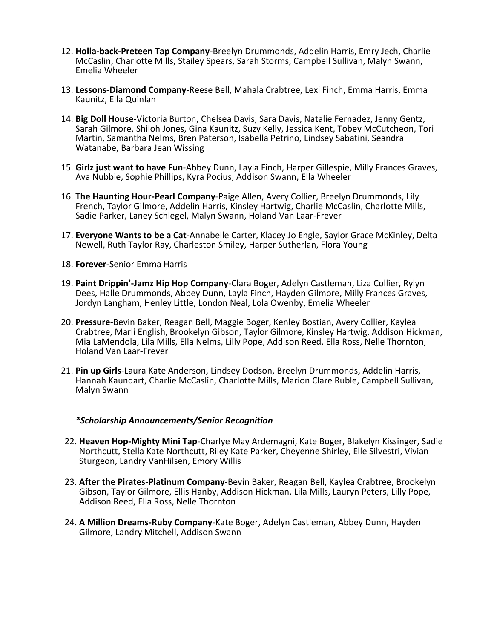- 12. **Holla-back-Preteen Tap Company**-Breelyn Drummonds, Addelin Harris, Emry Jech, Charlie McCaslin, Charlotte Mills, Stailey Spears, Sarah Storms, Campbell Sullivan, Malyn Swann, Emelia Wheeler
- 13. **Lessons-Diamond Company**-Reese Bell, Mahala Crabtree, Lexi Finch, Emma Harris, Emma Kaunitz, Ella Quinlan
- 14. **Big Doll House**-Victoria Burton, Chelsea Davis, Sara Davis, Natalie Fernadez, Jenny Gentz, Sarah Gilmore, Shiloh Jones, Gina Kaunitz, Suzy Kelly, Jessica Kent, Tobey McCutcheon, Tori Martin, Samantha Nelms, Bren Paterson, Isabella Petrino, Lindsey Sabatini, Seandra Watanabe, Barbara Jean Wissing
- 15. **Girlz just want to have Fun**-Abbey Dunn, Layla Finch, Harper Gillespie, Milly Frances Graves, Ava Nubbie, Sophie Phillips, Kyra Pocius, Addison Swann, Ella Wheeler
- 16. **The Haunting Hour-Pearl Company**-Paige Allen, Avery Collier, Breelyn Drummonds, Lily French, Taylor Gilmore, Addelin Harris, Kinsley Hartwig, Charlie McCaslin, Charlotte Mills, Sadie Parker, Laney Schlegel, Malyn Swann, Holand Van Laar-Frever
- 17. **Everyone Wants to be a Cat**-Annabelle Carter, Klacey Jo Engle, Saylor Grace McKinley, Delta Newell, Ruth Taylor Ray, Charleston Smiley, Harper Sutherlan, Flora Young
- 18. **Forever**-Senior Emma Harris
- 19. **Paint Drippin'-Jamz Hip Hop Company**-Clara Boger, Adelyn Castleman, Liza Collier, Rylyn Dees, Halle Drummonds, Abbey Dunn, Layla Finch, Hayden Gilmore, Milly Frances Graves, Jordyn Langham, Henley Little, London Neal, Lola Owenby, Emelia Wheeler
- 20. **Pressure**-Bevin Baker, Reagan Bell, Maggie Boger, Kenley Bostian, Avery Collier, Kaylea Crabtree, Marli English, Brookelyn Gibson, Taylor Gilmore, Kinsley Hartwig, Addison Hickman, Mia LaMendola, Lila Mills, Ella Nelms, Lilly Pope, Addison Reed, Ella Ross, Nelle Thornton, Holand Van Laar-Frever
- 21. **Pin up Girls**-Laura Kate Anderson, Lindsey Dodson, Breelyn Drummonds, Addelin Harris, Hannah Kaundart, Charlie McCaslin, Charlotte Mills, Marion Clare Ruble, Campbell Sullivan, Malyn Swann

#### *\*Scholarship Announcements/Senior Recognition*

- 22. **Heaven Hop-Mighty Mini Tap**-Charlye May Ardemagni, Kate Boger, Blakelyn Kissinger, Sadie Northcutt, Stella Kate Northcutt, Riley Kate Parker, Cheyenne Shirley, Elle Silvestri, Vivian Sturgeon, Landry VanHilsen, Emory Willis
- 23. **After the Pirates-Platinum Company**-Bevin Baker, Reagan Bell, Kaylea Crabtree, Brookelyn Gibson, Taylor Gilmore, Ellis Hanby, Addison Hickman, Lila Mills, Lauryn Peters, Lilly Pope, Addison Reed, Ella Ross, Nelle Thornton
- 24. **A Million Dreams-Ruby Company**-Kate Boger, Adelyn Castleman, Abbey Dunn, Hayden Gilmore, Landry Mitchell, Addison Swann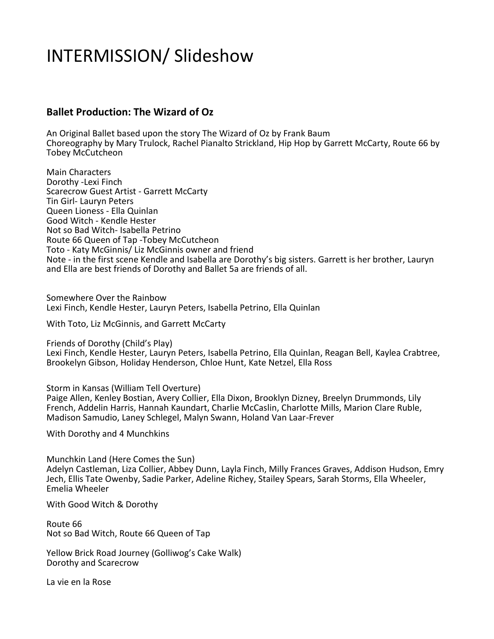# INTERMISSION/ Slideshow

## **Ballet Production: The Wizard of Oz**

An Original Ballet based upon the story The Wizard of Oz by Frank Baum Choreography by Mary Trulock, Rachel Pianalto Strickland, Hip Hop by Garrett McCarty, Route 66 by Tobey McCutcheon

Main Characters Dorothy -Lexi Finch Scarecrow Guest Artist - Garrett McCarty Tin Girl- Lauryn Peters Queen Lioness - Ella Quinlan Good Witch - Kendle Hester Not so Bad Witch- Isabella Petrino Route 66 Queen of Tap -Tobey McCutcheon Toto - Katy McGinnis/ Liz McGinnis owner and friend Note - in the first scene Kendle and Isabella are Dorothy's big sisters. Garrett is her brother, Lauryn and Ella are best friends of Dorothy and Ballet 5a are friends of all.

Somewhere Over the Rainbow Lexi Finch, Kendle Hester, Lauryn Peters, Isabella Petrino, Ella Quinlan

With Toto, Liz McGinnis, and Garrett McCarty

Friends of Dorothy (Child's Play)

Lexi Finch, Kendle Hester, Lauryn Peters, Isabella Petrino, Ella Quinlan, Reagan Bell, Kaylea Crabtree, Brookelyn Gibson, Holiday Henderson, Chloe Hunt, Kate Netzel, Ella Ross

Storm in Kansas (William Tell Overture)

Paige Allen, Kenley Bostian, Avery Collier, Ella Dixon, Brooklyn Dizney, Breelyn Drummonds, Lily French, Addelin Harris, Hannah Kaundart, Charlie McCaslin, Charlotte Mills, Marion Clare Ruble, Madison Samudio, Laney Schlegel, Malyn Swann, Holand Van Laar-Frever

With Dorothy and 4 Munchkins

Munchkin Land (Here Comes the Sun) Adelyn Castleman, Liza Collier, Abbey Dunn, Layla Finch, Milly Frances Graves, Addison Hudson, Emry Jech, Ellis Tate Owenby, Sadie Parker, Adeline Richey, Stailey Spears, Sarah Storms, Ella Wheeler, Emelia Wheeler

With Good Witch & Dorothy

Route 66 Not so Bad Witch, Route 66 Queen of Tap

Yellow Brick Road Journey (Golliwog's Cake Walk) Dorothy and Scarecrow

La vie en la Rose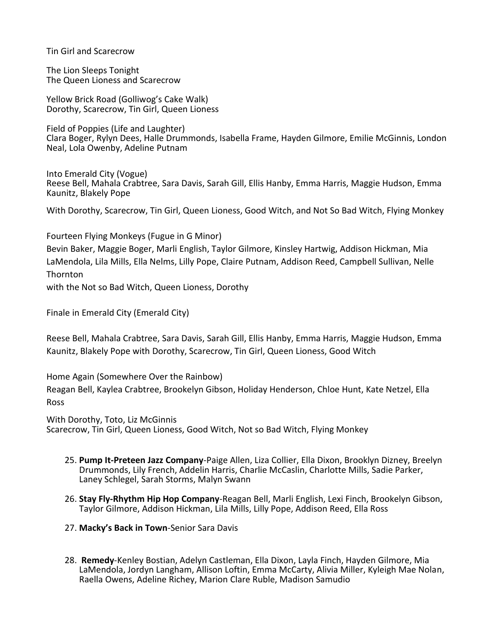Tin Girl and Scarecrow

The Lion Sleeps Tonight The Queen Lioness and Scarecrow

Yellow Brick Road (Golliwog's Cake Walk) Dorothy, Scarecrow, Tin Girl, Queen Lioness

Field of Poppies (Life and Laughter) Clara Boger, Rylyn Dees, Halle Drummonds, Isabella Frame, Hayden Gilmore, Emilie McGinnis, London Neal, Lola Owenby, Adeline Putnam

Into Emerald City (Vogue) Reese Bell, Mahala Crabtree, Sara Davis, Sarah Gill, Ellis Hanby, Emma Harris, Maggie Hudson, Emma Kaunitz, Blakely Pope

With Dorothy, Scarecrow, Tin Girl, Queen Lioness, Good Witch, and Not So Bad Witch, Flying Monkey

Fourteen Flying Monkeys (Fugue in G Minor)

Bevin Baker, Maggie Boger, Marli English, Taylor Gilmore, Kinsley Hartwig, Addison Hickman, Mia LaMendola, Lila Mills, Ella Nelms, Lilly Pope, Claire Putnam, Addison Reed, Campbell Sullivan, Nelle Thornton

with the Not so Bad Witch, Queen Lioness, Dorothy

Finale in Emerald City (Emerald City)

Reese Bell, Mahala Crabtree, Sara Davis, Sarah Gill, Ellis Hanby, Emma Harris, Maggie Hudson, Emma Kaunitz, Blakely Pope with Dorothy, Scarecrow, Tin Girl, Queen Lioness, Good Witch

Home Again (Somewhere Over the Rainbow)

Reagan Bell, Kaylea Crabtree, Brookelyn Gibson, Holiday Henderson, Chloe Hunt, Kate Netzel, Ella Ross

With Dorothy, Toto, Liz McGinnis Scarecrow, Tin Girl, Queen Lioness, Good Witch, Not so Bad Witch, Flying Monkey

- 25. **Pump It-Preteen Jazz Company**-Paige Allen, Liza Collier, Ella Dixon, Brooklyn Dizney, Breelyn Drummonds, Lily French, Addelin Harris, Charlie McCaslin, Charlotte Mills, Sadie Parker, Laney Schlegel, Sarah Storms, Malyn Swann
- 26. **Stay Fly-Rhythm Hip Hop Company**-Reagan Bell, Marli English, Lexi Finch, Brookelyn Gibson, Taylor Gilmore, Addison Hickman, Lila Mills, Lilly Pope, Addison Reed, Ella Ross
- 27. **Macky's Back in Town**-Senior Sara Davis
- 28. **Remedy**-Kenley Bostian, Adelyn Castleman, Ella Dixon, Layla Finch, Hayden Gilmore, Mia LaMendola, Jordyn Langham, Allison Loftin, Emma McCarty, Alivia Miller, Kyleigh Mae Nolan, Raella Owens, Adeline Richey, Marion Clare Ruble, Madison Samudio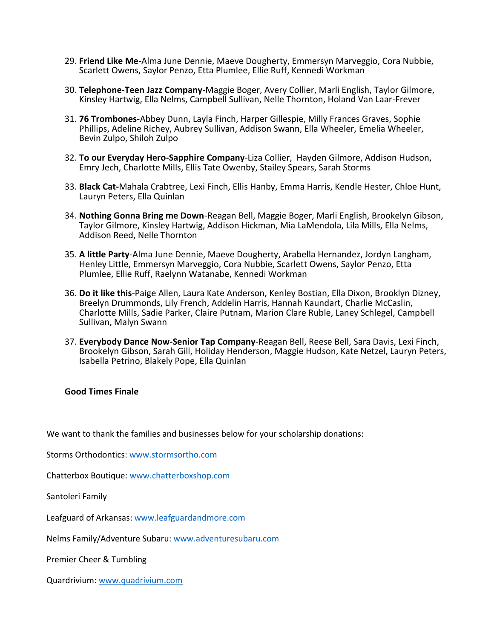- 29. **Friend Like Me**-Alma June Dennie, Maeve Dougherty, Emmersyn Marveggio, Cora Nubbie, Scarlett Owens, Saylor Penzo, Etta Plumlee, Ellie Ruff, Kennedi Workman
- 30. **Telephone-Teen Jazz Company**-Maggie Boger, Avery Collier, Marli English, Taylor Gilmore, Kinsley Hartwig, Ella Nelms, Campbell Sullivan, Nelle Thornton, Holand Van Laar-Frever
- 31. **76 Trombones**-Abbey Dunn, Layla Finch, Harper Gillespie, Milly Frances Graves, Sophie Phillips, Adeline Richey, Aubrey Sullivan, Addison Swann, Ella Wheeler, Emelia Wheeler, Bevin Zulpo, Shiloh Zulpo
- 32. **To our Everyday Hero-Sapphire Company**-Liza Collier, Hayden Gilmore, Addison Hudson, Emry Jech, Charlotte Mills, Ellis Tate Owenby, Stailey Spears, Sarah Storms
- 33. **Black Cat-**Mahala Crabtree, Lexi Finch, Ellis Hanby, Emma Harris, Kendle Hester, Chloe Hunt, Lauryn Peters, Ella Quinlan
- 34. **Nothing Gonna Bring me Down**-Reagan Bell, Maggie Boger, Marli English, Brookelyn Gibson, Taylor Gilmore, Kinsley Hartwig, Addison Hickman, Mia LaMendola, Lila Mills, Ella Nelms, Addison Reed, Nelle Thornton
- 35. **A little Party**-Alma June Dennie, Maeve Dougherty, Arabella Hernandez, Jordyn Langham, Henley Little, Emmersyn Marveggio, Cora Nubbie, Scarlett Owens, Saylor Penzo, Etta Plumlee, Ellie Ruff, Raelynn Watanabe, Kennedi Workman
- 36. **Do it like this**-Paige Allen, Laura Kate Anderson, Kenley Bostian, Ella Dixon, Brooklyn Dizney, Breelyn Drummonds, Lily French, Addelin Harris, Hannah Kaundart, Charlie McCaslin, Charlotte Mills, Sadie Parker, Claire Putnam, Marion Clare Ruble, Laney Schlegel, Campbell Sullivan, Malyn Swann
- 37. **Everybody Dance Now-Senior Tap Company**-Reagan Bell, Reese Bell, Sara Davis, Lexi Finch, Brookelyn Gibson, Sarah Gill, Holiday Henderson, Maggie Hudson, Kate Netzel, Lauryn Peters, Isabella Petrino, Blakely Pope, Ella Quinlan

#### **Good Times Finale**

We want to thank the families and businesses below for your scholarship donations:

Storms Orthodontics:<www.stormsortho.com>

Chatterbox Boutique[: www.chatterboxshop.com](www.chatterboxshop.com)

Santoleri Family

Leafguard of Arkansas[: www.leafguardandmore.com](www.leafguardandmore.com)

Nelms Family/Adventure Subaru:<www.adventuresubaru.com>

Premier Cheer & Tumbling

Quardrivium:<www.quadrivium.com>